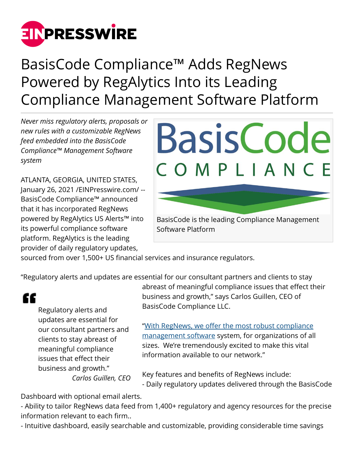

## BasisCode Compliance™ Adds RegNews Powered by RegAlytics Into its Leading Compliance Management Software Platform

*Never miss regulatory alerts, proposals or new rules with a customizable RegNews feed embedded into the BasisCode Compliance™ Management Software system*

ATLANTA, GEORGIA, UNITED STATES, January 26, 2021 /[EINPresswire.com](http://www.einpresswire.com)/ -- BasisCode Compliance™ announced that it has incorporated RegNews powered by RegAlytics US Alerts™ into its powerful compliance software platform. RegAlytics is the leading provider of daily regulatory updates,



sourced from over 1,500+ US financial services and insurance regulators.

"Regulatory alerts and updates are essential for our consultant partners and clients to stay

## "

Regulatory alerts and updates are essential for our consultant partners and clients to stay abreast of meaningful compliance issues that effect their business and growth."

*Carlos Guillen, CEO*

abreast of meaningful compliance issues that effect their business and growth," says Carlos Guillen, CEO of BasisCode Compliance LLC.

["With RegNews, we offer the most robust compliance](https://basiscode.com/basiscode-compliance-overview/) [management software](https://basiscode.com/basiscode-compliance-overview/) system, for organizations of all sizes. We're tremendously excited to make this vital information available to our network."

Key features and benefits of RegNews include: - Daily regulatory updates delivered through the BasisCode

Dashboard with optional email alerts.

- Ability to tailor RegNews data feed from 1,400+ regulatory and agency resources for the precise information relevant to each firm..

- Intuitive dashboard, easily searchable and customizable, providing considerable time savings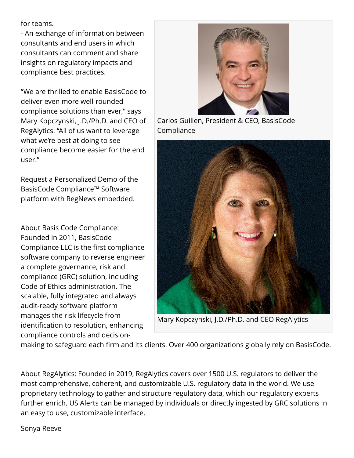for teams.

- An exchange of information between consultants and end users in which consultants can comment and share insights on regulatory impacts and compliance best practices.

"We are thrilled to enable BasisCode to deliver even more well-rounded compliance solutions than ever," says Mary Kopczynski, J.D./Ph.D. and CEO of RegAlytics. "All of us want to leverage what we're best at doing to see compliance become easier for the end user."

Request a Personalized Demo of the BasisCode Compliance™ Software platform with RegNews embedded.

About Basis Code Compliance: Founded in 2011, BasisCode Compliance LLC is the first compliance software company to reverse engineer a complete governance, risk and compliance (GRC) solution, including Code of Ethics administration. The scalable, fully integrated and always audit-ready software platform manages the risk lifecycle from identification to resolution, enhancing compliance controls and decision-



Carlos Guillen, President & CEO, BasisCode Compliance



Mary Kopczynski, J.D./Ph.D. and CEO RegAlytics

making to safeguard each firm and its clients. Over 400 organizations globally rely on BasisCode.

About RegAlytics: Founded in 2019, RegAlytics covers over 1500 U.S. regulators to deliver the most comprehensive, coherent, and customizable U.S. regulatory data in the world. We use proprietary technology to gather and structure regulatory data, which our regulatory experts further enrich. US Alerts can be managed by individuals or directly ingested by GRC solutions in an easy to use, customizable interface.

Sonya Reeve